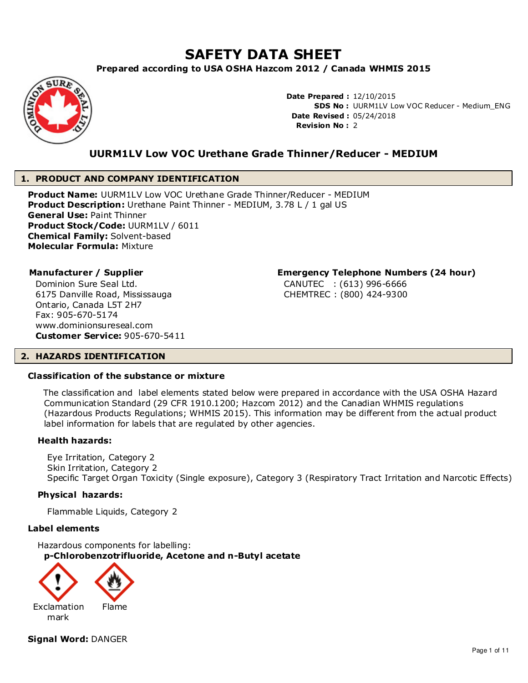# **SAFETY DATA SHEET**

**Prepared according to USA OSHA Hazcom 2012 / Canada WHMIS 2015**



**Date Prepared :** 12/10/2015 **SDS No :** UURM1LV Low VOC Reducer - Medium\_ENG **Date Revised :** 05/24/2018 **Revision No :** 2

# **UURM1LV Low VOC Urethane Grade Thinner/Reducer - MEDIUM**

# **1. PRODUCT AND COMPANY IDENTIFICATION**

**Product Name:** UURM1LV Low VOC Urethane Grade Thinner/Reducer - MEDIUM **Product Description:** Urethane Paint Thinner - MEDIUM, 3.78 L / 1 gal US **General Use:** Paint Thinner **Product Stock/Code:** UURM1LV / 6011 **Chemical Family:** Solvent-based **Molecular Formula:** Mixture

Dominion Sure Seal Ltd. 6175 Danville Road, Mississauga Ontario, Canada L5T 2H7 Fax: 905-670-5174 www.dominionsureseal.com **Customer Service:** 905-670-5411

# **Manufacturer / Supplier Emergency Telephone Numbers (24 hour)**

CANUTEC : (613) 996-6666 CHEMTREC : (800) 424-9300

#### **2. HAZARDS IDENTIFICATION**

#### **Classification of the substance or mixture**

 The classification and label elements stated below were prepared in accordance with the USA OSHA Hazard Communication Standard (29 CFR 1910.1200; Hazcom 2012) and the Canadian WHMIS regulations (Hazardous Products Regulations; WHMIS 2015). This information may be different from the actual product label information for labels that are regulated by other agencies.

#### **Health hazards:**

Eye Irritation, Category 2 Skin Irritation, Category 2 Specific Target Organ Toxicity (Single exposure), Category 3 (Respiratory Tract Irritation and Narcotic Effects)

#### **Physical hazards:**

Flammable Liquids, Category 2

#### **Label elements**

Hazardous components for labelling: **p-Chlorobenzotrifluoride, Acetone and n-Butyl acetate**



**Signal Word:** DANGER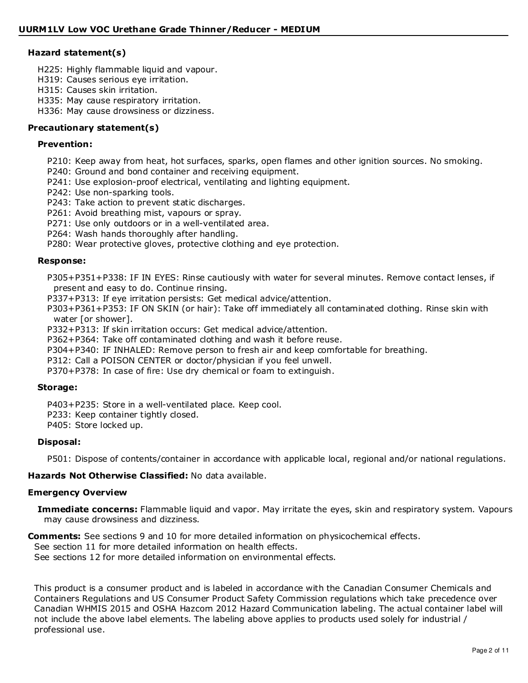# **Hazard statement(s)**

- H225: Highly flammable liquid and vapour.
- H319: Causes serious eye irritation.
- H315: Causes skin irritation.
- H335: May cause respiratory irritation.
- H336: May cause drowsiness or dizziness.

# **Precautionary statement(s)**

#### **Prevention:**

- P210: Keep away from heat, hot surfaces, sparks, open flames and other ignition sources. No smoking.
- P240: Ground and bond container and receiving equipment.
- P241: Use explosion-proof electrical, ventilating and lighting equipment.
- P242: Use non-sparking tools.
- P243: Take action to prevent static discharges.
- P261: Avoid breathing mist, vapours or spray.
- P271: Use only outdoors or in a well-ventilated area.
- P264: Wash hands thoroughly after handling.
- P280: Wear protective gloves, protective clothing and eye protection.

#### **Response:**

P305+P351+P338: IF IN EYES: Rinse cautiously with water for several minutes. Remove contact lenses, if present and easy to do. Continue rinsing.

- P337+P313: If eye irritation persists: Get medical advice/attention.
- P303+P361+P353: IF ON SKIN (or hair): Take off immediately all contaminated clothing. Rinse skin with water [or shower].
- P332+P313: If skin irritation occurs: Get medical advice/attention.
- P362+P364: Take off contaminated clothing and wash it before reuse.
- P304+P340: IF INHALED: Remove person to fresh air and keep comfortable for breathing.
- P312: Call a POISON CENTER or doctor/physician if you feel unwell.
- P370+P378: In case of fire: Use dry chemical or foam to extinguish.

#### **Storage:**

P403+P235: Store in a well-ventilated place. Keep cool.

- P233: Keep container tightly closed.
- P405: Store locked up.

# **Disposal:**

P501: Dispose of contents/container in accordance with applicable local, regional and/or national regulations.

# **Hazards Not Otherwise Classified:** No data available.

#### **Emergency Overview**

**Immediate concerns:** Flammable liquid and vapor. May irritate the eyes, skin and respiratory system. Vapours may cause drowsiness and dizziness.

- **Comments:** See sections 9 and 10 for more detailed information on physicochemical effects.
- See section 11 for more detailed information on health effects.

See sections 12 for more detailed information on environmental effects.

This product is a consumer product and is labeled in accordance with the Canadian Consumer Chemicals and Containers Regulations and US Consumer Product Safety Commission regulations which take precedence over Canadian WHMIS 2015 and OSHA Hazcom 2012 Hazard Communication labeling. The actual container label will not include the above label elements. The labeling above applies to products used solely for industrial / professional use.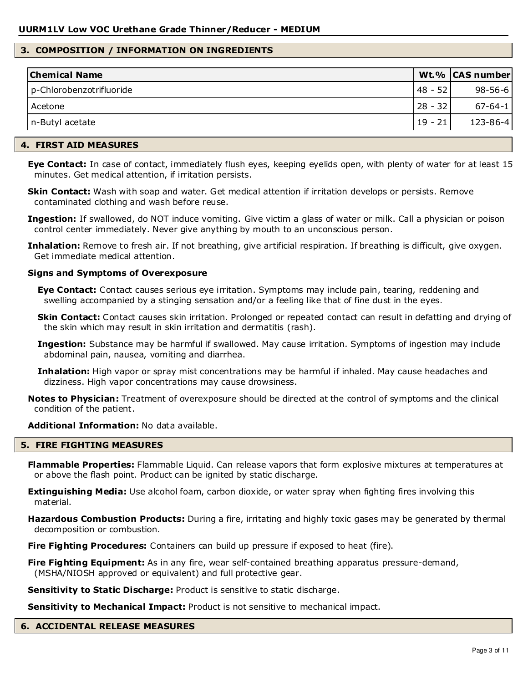#### **3. COMPOSITION / INFORMATION ON INGREDIENTS**

| <b>Chemical Name</b>     |            | Wt.% CAS number |
|--------------------------|------------|-----------------|
| p-Chlorobenzotrifluoride | $148 - 52$ | $98 - 56 - 6$   |
| l Acetone                | $28 - 32$  | $67 - 64 - 1$   |
| n-Butyl acetate          | $19 - 21$  | $123 - 86 - 4$  |

#### **4. FIRST AID MEASURES**

**Eye Contact:** In case of contact, immediately flush eyes, keeping eyelids open, with plenty of water for at least 15 minutes. Get medical attention, if irritation persists.

**Skin Contact:** Wash with soap and water. Get medical attention if irritation develops or persists. Remove contaminated clothing and wash before reuse.

**Ingestion:** If swallowed, do NOT induce vomiting. Give victim a glass of water or milk. Call a physician or poison control center immediately. Never give anything by mouth to an unconscious person.

**Inhalation:** Remove to fresh air. If not breathing, give artificial respiration. If breathing is difficult, give oxygen. Get immediate medical attention.

#### **Signs and Symptoms of Overexposure**

**Eye Contact:** Contact causes serious eye irritation. Symptoms may include pain, tearing, reddening and swelling accompanied by a stinging sensation and/or a feeling like that of fine dust in the eyes.

**Skin Contact:** Contact causes skin irritation. Prolonged or repeated contact can result in defatting and drying of the skin which may result in skin irritation and dermatitis (rash).

**Ingestion:** Substance may be harmful if swallowed. May cause irritation. Symptoms of ingestion may include abdominal pain, nausea, vomiting and diarrhea.

**Inhalation:** High vapor or spray mist concentrations may be harmful if inhaled. May cause headaches and dizziness. High vapor concentrations may cause drowsiness.

**Notes to Physician:** Treatment of overexposure should be directed at the control of symptoms and the clinical condition of the patient.

**Additional Information:** No data available.

#### **5. FIRE FIGHTING MEASURES**

**Flammable Properties:** Flammable Liquid. Can release vapors that form explosive mixtures at temperatures at or above the flash point. Product can be ignited by static discharge.

**Extinguishing Media:** Use alcohol foam, carbon dioxide, or water spray when fighting fires involving this material.

**Hazardous Combustion Products:** During a fire, irritating and highly toxic gases may be generated by thermal decomposition or combustion.

**Fire Fighting Procedures:** Containers can build up pressure if exposed to heat (fire).

**Fire Fighting Equipment:** As in any fire, wear self-contained breathing apparatus pressure-demand, (MSHA/NIOSH approved or equivalent) and full protective gear.

**Sensitivity to Static Discharge:** Product is sensitive to static discharge.

**Sensitivity to Mechanical Impact:** Product is not sensitive to mechanical impact.

#### **6. ACCIDENTAL RELEASE MEASURES**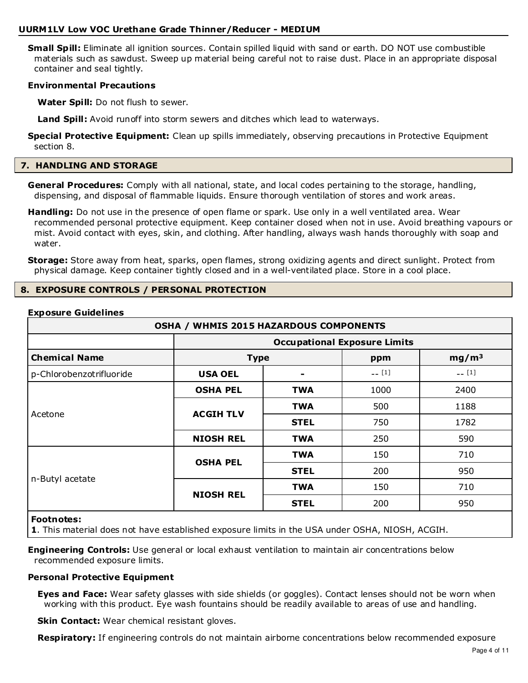**Small Spill:** Eliminate all ignition sources. Contain spilled liquid with sand or earth. DO NOT use combustible materials such as sawdust. Sweep up material being careful not to raise dust. Place in an appropriate disposal container and seal tightly.

#### **Environmental Precautions**

**Water Spill:** Do not flush to sewer.

**Land Spill:** Avoid runoff into storm sewers and ditches which lead to waterways.

**Special Protective Equipment:** Clean up spills immediately, observing precautions in Protective Equipment section 8.

#### **7. HANDLING AND STORAGE**

**General Procedures:** Comply with all national, state, and local codes pertaining to the storage, handling, dispensing, and disposal of flammable liquids. Ensure thorough ventilation of stores and work areas.

**Handling:** Do not use in the presence of open flame or spark. Use only in a well ventilated area. Wear recommended personal protective equipment. Keep container closed when not in use. Avoid breathing vapours or mist. Avoid contact with eyes, skin, and clothing. After handling, always wash hands thoroughly with soap and water.

**Storage:** Store away from heat, sparks, open flames, strong oxidizing agents and direct sunlight. Protect from physical damage. Keep container tightly closed and in a well-ventilated place. Store in a cool place.

#### **8. EXPOSURE CONTROLS / PERSONAL PROTECTION**

#### **Exposure Guidelines**

| <b>OSHA / WHMIS 2015 HAZARDOUS COMPONENTS</b>          |                  |                                     |         |                   |  |
|--------------------------------------------------------|------------------|-------------------------------------|---------|-------------------|--|
|                                                        |                  | <b>Occupational Exposure Limits</b> |         |                   |  |
| <b>Chemical Name</b>                                   | <b>Type</b>      |                                     | ppm     | mg/m <sup>3</sup> |  |
| p-Chlorobenzotrifluoride                               | <b>USA OEL</b>   |                                     | $-$ [1] | $-$ [1]           |  |
|                                                        | <b>OSHA PEL</b>  | <b>TWA</b>                          | 1000    | 2400              |  |
|                                                        | <b>ACGIH TLV</b> | <b>TWA</b>                          | 500     | 1188              |  |
| Acetone                                                |                  | <b>STEL</b>                         | 750     | 1782              |  |
|                                                        | <b>NIOSH REL</b> | <b>TWA</b>                          | 250     | 590               |  |
| <b>OSHA PEL</b><br>n-Butyl acetate<br><b>NIOSH REL</b> |                  | <b>TWA</b>                          | 150     | 710               |  |
|                                                        |                  | <b>STEL</b>                         | 200     | 950               |  |
|                                                        |                  | <b>TWA</b>                          | 150     | 710               |  |
|                                                        |                  | <b>STEL</b>                         | 200     | 950               |  |
| <b>Footnotes:</b>                                      |                  |                                     |         |                   |  |

**1**. This material does not have established exposure limits in the USA under OSHA, NIOSH, ACGIH.

**Engineering Controls:** Use general or local exhaust ventilation to maintain air concentrations below recommended exposure limits.

#### **Personal Protective Equipment**

**Eyes and Face:** Wear safety glasses with side shields (or goggles). Contact lenses should not be worn when working with this product. Eye wash fountains should be readily available to areas of use and handling.

**Skin Contact:** Wear chemical resistant gloves.

**Respiratory:** If engineering controls do not maintain airborne concentrations below recommended exposure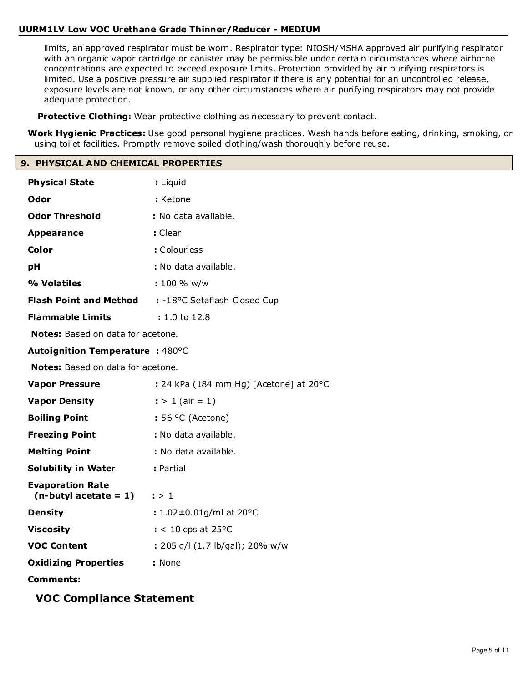limits, an approved respirator must be worn. Respirator type: NIOSH/MSHA approved air purifying respirator with an organic vapor cartridge or canister may be permissible under certain circumstances where airborne concentrations are expected to exceed exposure limits. Protection provided by air purifying respirators is limited. Use a positive pressure air supplied respirator if there is any potential for an uncontrolled release, exposure levels are not known, or any other circumstances where air purifying respirators may not provide adequate protection.

**Protective Clothing:** Wear protective clothing as necessary to prevent contact.

**Work Hygienic Practices:** Use good personal hygiene practices. Wash hands before eating, drinking, smoking, or using toilet facilities. Promptly remove soiled clothing/wash thoroughly before reuse.

#### **9. PHYSICAL AND CHEMICAL PROPERTIES**

| <b>Physical State</b>                               | : Liquid                               |
|-----------------------------------------------------|----------------------------------------|
| Odor                                                | : Ketone                               |
| <b>Odor Threshold</b>                               | : No data available.                   |
| <b>Appearance</b>                                   | : Clear                                |
| Color                                               | : Colourless                           |
| рH                                                  | : No data available.                   |
| % Volatiles                                         | : 100 % w/w                            |
| <b>Flash Point and Method</b>                       | : -18°C Setaflash Closed Cup           |
| <b>Flammable Limits</b>                             | : 1.0 to 12.8                          |
| Notes: Based on data for acetone.                   |                                        |
| Autoignition Temperature : 480°C                    |                                        |
| Notes: Based on data for acetone.                   |                                        |
| <b>Vapor Pressure</b>                               | : 24 kPa (184 mm Hg) [Acetone] at 20°C |
| <b>Vapor Density</b>                                | $:$ > 1 (air = 1)                      |
| <b>Boiling Point</b>                                | $: 56 °C$ (Acetone)                    |
| <b>Freezing Point</b>                               | : No data available.                   |
| <b>Melting Point</b>                                | : No data available.                   |
| <b>Solubility in Water</b>                          | : Partial                              |
| <b>Evaporation Rate</b><br>$(n$ -butyl acetate = 1) | : > 1                                  |
| <b>Density</b>                                      | : $1.02 \pm 0.01$ g/ml at 20°C         |
| <b>Viscosity</b>                                    | $:$ < 10 cps at 25 °C                  |
| <b>VOC Content</b>                                  | : 205 g/l (1.7 lb/gal); 20% w/w        |
| <b>Oxidizing Properties</b>                         | : None                                 |
| <b>Comments:</b>                                    |                                        |

# **VOC Compliance Statement**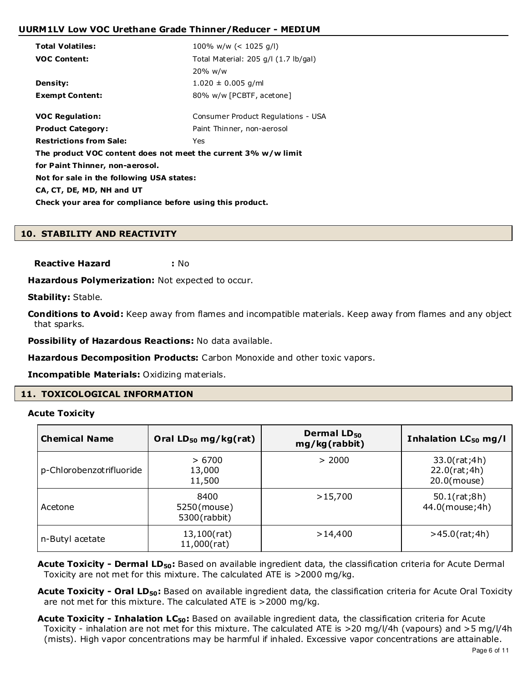| <b>Total Volatiles:</b>                                        | 100% w/w (< 1025 g/l)                            |  |  |  |
|----------------------------------------------------------------|--------------------------------------------------|--|--|--|
| <b>VOC Content:</b>                                            | Total Material: $205$ g/l $(1.7 \text{ lb/gal})$ |  |  |  |
|                                                                | 20% w/w                                          |  |  |  |
| <b>Density:</b>                                                | $1.020 \pm 0.005$ g/ml                           |  |  |  |
| <b>Exempt Content:</b>                                         | 80% w/w [PCBTF, acetone]                         |  |  |  |
|                                                                |                                                  |  |  |  |
| <b>VOC Regulation:</b>                                         | Consumer Product Regulations - USA               |  |  |  |
| <b>Product Category:</b>                                       | Paint Thinner, non-aerosol                       |  |  |  |
| <b>Restrictions from Sale:</b>                                 | Yes                                              |  |  |  |
| The product VOC content does not meet the current 3% w/w limit |                                                  |  |  |  |
| for Paint Thinner, non-aerosol.                                |                                                  |  |  |  |
| Not for sale in the following USA states:                      |                                                  |  |  |  |
| CA, CT, DE, MD, NH and UT                                      |                                                  |  |  |  |
| Check your area for compliance before using this product.      |                                                  |  |  |  |
|                                                                |                                                  |  |  |  |

# **10. STABILITY AND REACTIVITY**

**Reactive Hazard :** No

Hazardous Polymerization: Not expected to occur.

**Stability:** Stable.

**Conditions to Avoid:** Keep away from flames and incompatible materials. Keep away from flames and any object that sparks.

**Possibility of Hazardous Reactions:** No data available.

**Hazardous Decomposition Products:** Carbon Monoxide and other toxic vapors.

**Incompatible Materials:** Oxidizing materials.

# **11. TOXICOLOGICAL INFORMATION**

**Acute Toxicity**

| <b>Chemical Name</b>      | Oral $LD_{50}$ mg/kg(rat)            | Dermal LD <sub>50</sub><br>mg/kg(rabbit) | Inhalation LC <sub>50</sub> mg/l            |
|---------------------------|--------------------------------------|------------------------------------------|---------------------------------------------|
| p-Chlorobenzot rifluoride | >6700<br>13,000<br>11,500            | > 2000                                   | 33.0(rat;4h)<br>22.0(rat;4h)<br>20.0(mouse) |
| Acetone                   | 8400<br>5250(mouse)<br>5300 (rabbit) | >15,700                                  | 50.1(rat;8h)<br>44.0(mouse; 4h)             |
| n-Butyl acetate           | 13,100(rat)<br>11,000(rat)           | >14,400                                  | $>45.0$ (rat; 4h)                           |

**Acute Toxicity - Dermal LD50:** Based on available ingredient data, the classification criteria for Acute Dermal Toxicity are not met for this mixture. The calculated ATE is >2000 mg/kg.

**Acute Toxicity - Oral LD50:** Based on available ingredient data, the classification criteria for Acute Oral Toxicity are not met for this mixture. The calculated ATE is >2000 mg/kg.

**Acute Toxicity - Inhalation LC50:** Based on available ingredient data, the classification criteria for Acute Toxicity - inhalation are not met for this mixture. The calculated ATE is >20 mg/l/4h (vapours) and >5 mg/l/4h (mists). High vapor concentrations may be harmful if inhaled. Excessive vapor concentrations are attainable.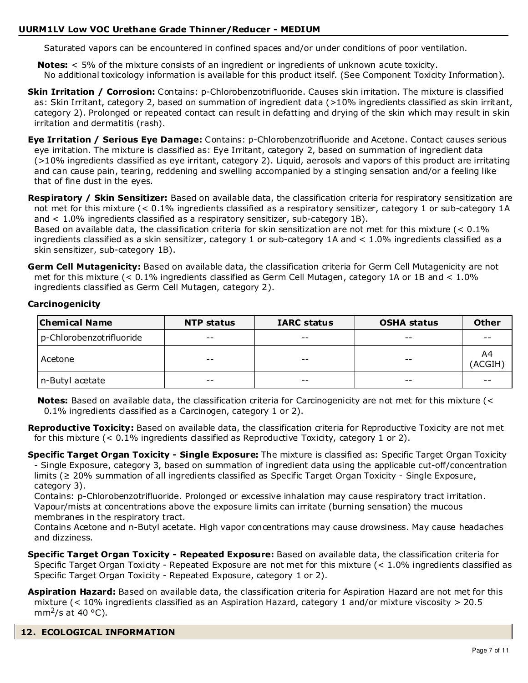Saturated vapors can be encountered in confined spaces and/or under conditions of poor ventilation.

**Notes:** < 5% of the mixture consists of an ingredient or ingredients of unknown acute toxicity. No additional toxicology information is available for this product itself. (See Component Toxicity Information).

**Skin Irritation / Corrosion:** Contains: p-Chlorobenzotrifluoride. Causes skin irritation. The mixture is classified as: Skin Irritant, category 2, based on summation of ingredient data (>10% ingredients classified as skin irritant, category 2). Prolonged or repeated contact can result in defatting and drying of the skin which may result in skin irritation and dermatitis (rash).

**Eye Irritation / Serious Eye Damage:** Contains: p-Chlorobenzotrifluoride and Acetone. Contact causes serious eye irritation. The mixture is classified as: Eye Irritant, category 2, based on summation of ingredient data (>10% ingredients classified as eye irritant, category 2). Liquid, aerosols and vapors of this product are irritating and can cause pain, tearing, reddening and swelling accompanied by a stinging sensation and/or a feeling like that of fine dust in the eyes.

**Respiratory / Skin Sensitizer:** Based on available data, the classification criteria for respiratory sensitization are not met for this mixture (< 0.1% ingredients classified as a respiratory sensitizer, category 1 or sub-category 1A and < 1.0% ingredients classified as a respiratory sensitizer, sub-category 1B).

Based on available data, the classification criteria for skin sensitization are not met for this mixture (< 0.1% ingredients classified as a skin sensitizer, category 1 or sub-category 1A and < 1.0% ingredients classified as a skin sensitizer, sub-category 1B).

**Germ Cell Mutagenicity:** Based on available data, the classification criteria for Germ Cell Mutagenicity are not met for this mixture (< 0.1% ingredients classified as Germ Cell Mutagen, category 1A or 1B and < 1.0% ingredients classified as Germ Cell Mutagen, category 2).

# **Carcinogenicity**

| <b>Chemical Name</b>      | <b>NTP status</b> | <b>IARC status</b> | <b>OSHA status</b> | <b>Other</b> |
|---------------------------|-------------------|--------------------|--------------------|--------------|
| p-Chlorobenzot rifluoride | $- -$             | $- -$              | $- -$              | $- -$        |
| Acetone                   | $- -$             | $- -$              | $ -$               | A4<br>ACGIH) |
| n-Butyl acetate           | $- -$             | $- -$              | $- -$              | $- -$        |

**Notes:** Based on available data, the classification criteria for Carcinogenicity are not met for this mixture (< 0.1% ingredients classified as a Carcinogen, category 1 or 2).

**Reproductive Toxicity:** Based on available data, the classification criteria for Reproductive Toxicity are not met for this mixture  $\left($  < 0.1% ingredients classified as Reproductive Toxicity, category 1 or 2).

**Specific Target Organ Toxicity - Single Exposure:** The mixture is classified as: Specific Target Organ Toxicity - Single Exposure, category 3, based on summation of ingredient data using the applicable cut-off/concentration limits (≥ 20% summation of all ingredients classified as Specific Target Organ Toxicity - Single Exposure, category 3).

Contains: p-Chlorobenzotrifluoride. Prolonged or excessive inhalation may cause respiratory tract irritation. Vapour/mists at concentrations above the exposure limits can irritate (burning sensation) the mucous membranes in the respiratory tract.

Contains Acetone and n-Butyl acetate. High vapor concentrations may cause drowsiness. May cause headaches and dizziness.

- **Specific Target Organ Toxicity Repeated Exposure:** Based on available data, the classification criteria for Specific Target Organ Toxicity - Repeated Exposure are not met for this mixture (< 1.0% ingredients classified as Specific Target Organ Toxicity - Repeated Exposure, category 1 or 2).
- **Aspiration Hazard:** Based on available data, the classification criteria for Aspiration Hazard are not met for this mixture (< 10% ingredients classified as an Aspiration Hazard, category 1 and/or mixture viscosity > 20.5 mm<sup>2</sup>/s at 40 °C).

**12. ECOLOGICAL INFORMATION**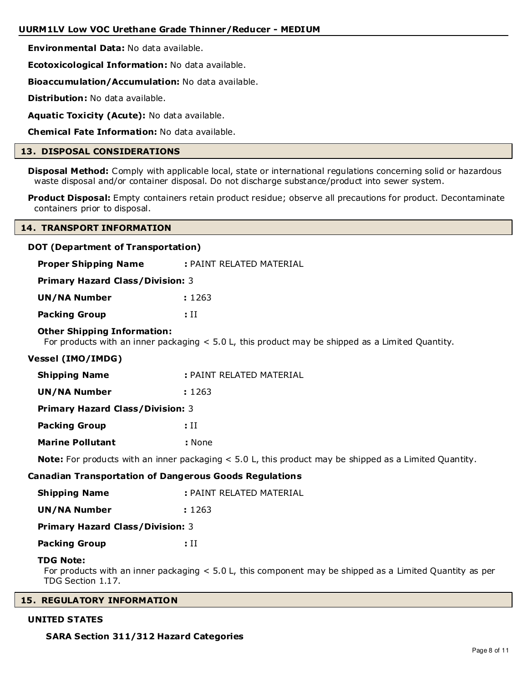**Environmental Data:** No data available.

**Ecotoxicological Information:** No data available.

**Bioaccumulation/Accumulation:** No data available.

**Distribution:** No data available.

**Aquatic Toxicity (Acute):** No data available.

**Chemical Fate Information:** No data available.

# **13. DISPOSAL CONSIDERATIONS**

**Disposal Method:** Comply with applicable local, state or international regulations concerning solid or hazardous waste disposal and/or container disposal. Do not discharge substance/product into sewer system.

**Product Disposal:** Empty containers retain product residue; observe all precautions for product. Decontaminate containers prior to disposal.

#### **14. TRANSPORT INFORMATION**

#### **DOT (Department of Transportation)**

| <b>Proper Shipping Name</b>                                   | : PAINT RELATED MATERIAL                                                                                      |
|---------------------------------------------------------------|---------------------------------------------------------------------------------------------------------------|
| <b>Primary Hazard Class/Division: 3</b>                       |                                                                                                               |
| <b>UN/NA Number</b>                                           | : 1263                                                                                                        |
| <b>Packing Group</b>                                          | $\cdot$ II                                                                                                    |
| <b>Other Shipping Information:</b>                            | For products with an inner packaging $< 5.0$ L, this product may be shipped as a Limited Quantity.            |
| <b>Vessel (IMO/IMDG)</b>                                      |                                                                                                               |
| <b>Shipping Name</b>                                          | : PAINT RELATED MATERIAL                                                                                      |
| <b>UN/NA Number</b>                                           | : 1263                                                                                                        |
| <b>Primary Hazard Class/Division: 3</b>                       |                                                                                                               |
| <b>Packing Group</b>                                          | : II                                                                                                          |
| <b>Marine Pollutant</b>                                       | : None                                                                                                        |
|                                                               | <b>Note:</b> For products with an inner packaging < 5.0 L, this product may be shipped as a Limited Quantity. |
| <b>Canadian Transportation of Dangerous Goods Regulations</b> |                                                                                                               |
| <b>Shipping Name</b>                                          | : PAINT RELATED MATERIAL                                                                                      |
| <b>UN/NA Number</b>                                           | : 1263                                                                                                        |
| <b>Primary Hazard Class/Division: 3</b>                       |                                                                                                               |
| <b>Packing Group</b>                                          | : II                                                                                                          |
| <b>TDG Note:</b><br>TDG Section 1.17.                         | For products with an inner packaging $< 5.0$ L, this component may be shipped as a Limited Quantity as per    |
| <b>DECULATODY THEODMATION</b>                                 |                                                                                                               |

# **15. REGULATORY INFORMATION**

#### **UNITED STATES**

 **SARA Section 311/312 Hazard Categories**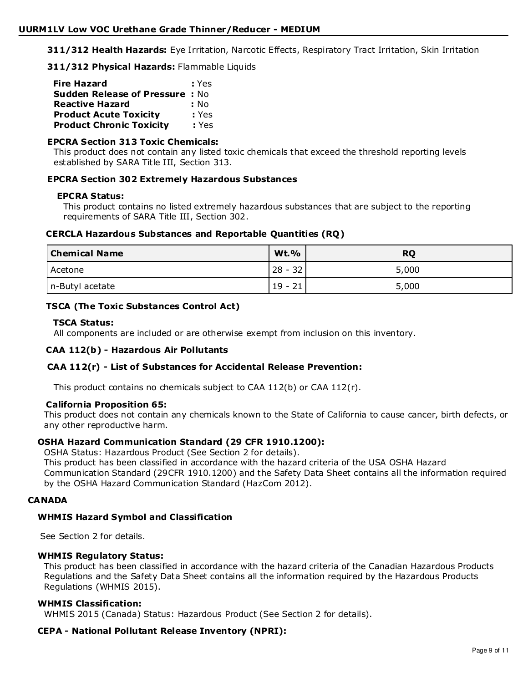**311/312 Health Hazards:** Eye Irritation, Narcotic Effects, Respiratory Tract Irritation, Skin Irritation

**311/312 Physical Hazards:** Flammable Liquids

| <b>Fire Hazard</b>                    | : Yes |
|---------------------------------------|-------|
| <b>Sudden Release of Pressure: No</b> |       |
| <b>Reactive Hazard</b>                | : No  |
| <b>Product Acute Toxicity</b>         | : Yes |
| <b>Product Chronic Toxicity</b>       | : Yes |

# **EPCRA Section 313 Toxic Chemicals:**

This product does not contain any listed toxic chemicals that exceed the threshold reporting levels established by SARA Title III, Section 313.

# **EPCRA Section 302 Extremely Hazardous Substances**

#### **EPCRA Status:**

This product contains no listed extremely hazardous substances that are subject to the reporting requirements of SARA Title III, Section 302.

# **CERCLA Hazardous Substances and Reportable Quantities (RQ)**

| <b>Chemical Name</b> | <b>Wt.%</b> | <b>RQ</b> |
|----------------------|-------------|-----------|
| Acetone              | $28 - 32$   | 5,000     |
| n-Butyl acetate      | $19 - 21$   | 5,000     |

# **TSCA (The Toxic Substances Control Act)**

# **TSCA Status:**

All components are included or are otherwise exempt from inclusion on this inventory.

# **CAA 112(b) - Hazardous Air Pollutants**

# **CAA 112(r) - List of Substances for Accidental Release Prevention:**

This product contains no chemicals subject to CAA 112(b) or CAA 112(r).

#### **California Proposition 65:**

This product does not contain any chemicals known to the State of California to cause cancer, birth defects, or any other reproductive harm.

# **OSHA Hazard Communication Standard (29 CFR 1910.1200):**

OSHA Status: Hazardous Product (See Section 2 for details).

This product has been classified in accordance with the hazard criteria of the USA OSHA Hazard Communication Standard (29CFR 1910.1200) and the Safety Data Sheet contains all the information required by the OSHA Hazard Communication Standard (HazCom 2012).

#### **CANADA**

# **WHMIS Hazard Symbol and Classification**

See Section 2 for details.

# **WHMIS Regulatory Status:**

This product has been classified in accordance with the hazard criteria of the Canadian Hazardous Products Regulations and the Safety Data Sheet contains all the information required by the Hazardous Products Regulations (WHMIS 2015).

#### **WHMIS Classification:**

WHMIS 2015 (Canada) Status: Hazardous Product (See Section 2 for details).

# **CEPA - National Pollutant Release Inventory (NPRI):**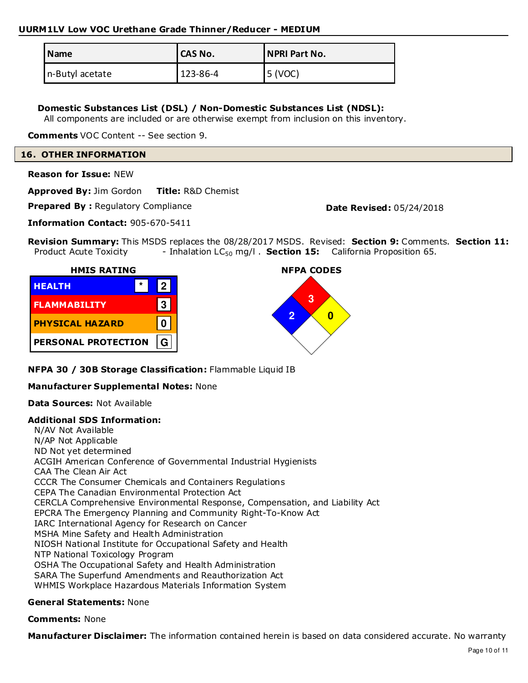| Name            | <b>CAS No.</b> | <b>NPRI Part No.</b> |
|-----------------|----------------|----------------------|
| n-Butyl acetate | 123-86-4       | 5 (VOC)              |

# **Domestic Substances List (DSL) / Non-Domestic Substances List (NDSL):**

All components are included or are otherwise exempt from inclusion on this inventory.

**Comments** VOC Content -- See section 9.

#### **16. OTHER INFORMATION**

**Reason for Issue:** NEW

**Approved By:** Jim Gordon **Title:** R&D Chemist

**Prepared By: Regulatory Compliance <b>Date Revised:** 05/24/2018

**Information Contact:** 905-670-5411

**Revision Summary:** This MSDS replaces the 08/28/2017 MSDS. Revised: **Section 9:** Comments. **Section 11:** Product Acute Toxicity - Inhalation LC<sub>50</sub> mg/l . **Section 15:** California Proposition 65.





**NFPA 30 / 30B Storage Classification:** Flammable Liquid IB

# **Manufacturer Supplemental Notes:** None

# **Data Sources:** Not Available

# **Additional SDS Information:**

N/AV Not Available N/AP Not Applicable ND Not yet determined ACGIH American Conference of Governmental Industrial Hygienists CAA The Clean Air Act CCCR The Consumer Chemicals and Containers Regulations CEPA The Canadian Environmental Protection Act CERCLA Comprehensive Environmental Response, Compensation, and Liability Act EPCRA The Emergency Planning and Community Right-To-Know Act IARC International Agency for Research on Cancer MSHA Mine Safety and Health Administration NIOSH National Institute for Occupational Safety and Health NTP National Toxicology Program OSHA The Occupational Safety and Health Administration SARA The Superfund Amendments and Reauthorization Act WHMIS Workplace Hazardous Materials Information System

# **General Statements:** None

#### **Comments:** None

**Manufacturer Disclaimer:** The information contained herein is based on data considered accurate. No warranty